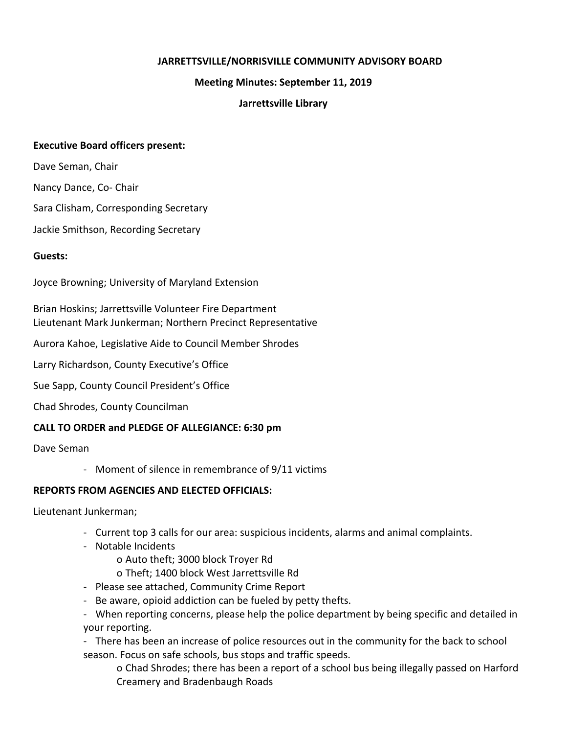### **JARRETTSVILLE/NORRISVILLE COMMUNITY ADVISORY BOARD**

#### **Meeting Minutes: September 11, 2019**

### **Jarrettsville Library**

#### **Executive Board officers present:**

Dave Seman, Chair

Nancy Dance, Co- Chair

Sara Clisham, Corresponding Secretary

Jackie Smithson, Recording Secretary

#### **Guests:**

Joyce Browning; University of Maryland Extension

Brian Hoskins; Jarrettsville Volunteer Fire Department Lieutenant Mark Junkerman; Northern Precinct Representative

Aurora Kahoe, Legislative Aide to Council Member Shrodes

Larry Richardson, County Executive's Office

Sue Sapp, County Council President's Office

Chad Shrodes, County Councilman

### **CALL TO ORDER and PLEDGE OF ALLEGIANCE: 6:30 pm**

Dave Seman

- Moment of silence in remembrance of 9/11 victims

### **REPORTS FROM AGENCIES AND ELECTED OFFICIALS:**

Lieutenant Junkerman;

- Current top 3 calls for our area: suspicious incidents, alarms and animal complaints.
- Notable Incidents

o Auto theft; 3000 block Troyer Rd

- o Theft; 1400 block West Jarrettsville Rd
- Please see attached, Community Crime Report
- Be aware, opioid addiction can be fueled by petty thefts.

- When reporting concerns, please help the police department by being specific and detailed in your reporting.

- There has been an increase of police resources out in the community for the back to school season. Focus on safe schools, bus stops and traffic speeds.

o Chad Shrodes; there has been a report of a school bus being illegally passed on Harford Creamery and Bradenbaugh Roads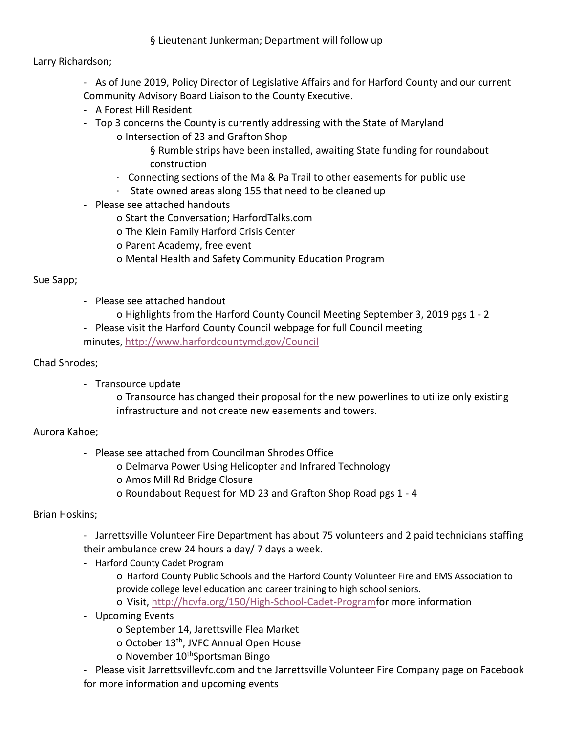## § Lieutenant Junkerman; Department will follow up

Larry Richardson;

- As of June 2019, Policy Director of Legislative Affairs and for Harford County and our current Community Advisory Board Liaison to the County Executive.

- A Forest Hill Resident
- Top 3 concerns the County is currently addressing with the State of Maryland
	- o Intersection of 23 and Grafton Shop
		- § Rumble strips have been installed, awaiting State funding for roundabout construction
		- · Connecting sections of the Ma & Pa Trail to other easements for public use
		- · State owned areas along 155 that need to be cleaned up
- Please see attached handouts
	- o Start the Conversation; HarfordTalks.com
	- o The Klein Family Harford Crisis Center
	- o Parent Academy, free event
	- o Mental Health and Safety Community Education Program

### Sue Sapp;

- Please see attached handout
	- o Highlights from the Harford County Council Meeting September 3, 2019 pgs 1 2
- Please visit the Harford County Council webpage for full Council meeting minutes, [http://www.harfordcountymd.gov/Council](https://nam05.safelinks.protection.outlook.com/?url=http%3A%2F%2Fwww.harfordcountymd.gov%2FCouncil&data=02%7C01%7Ckblowery%40harfordcountymd.gov%7C5637a030d3114bac363b08d74032af5c%7C4235188d82284164a04d76ccc8339f8f%7C0%7C0%7C637048458773162188&sdata=gol706tZTbA%2BF4JAk%2Fx88R7wpypSOiBuCjtfpLNdMR8%3D&reserved=0)

### Chad Shrodes;

- Transource update

o Transource has changed their proposal for the new powerlines to utilize only existing infrastructure and not create new easements and towers.

# Aurora Kahoe;

- Please see attached from Councilman Shrodes Office
	- o Delmarva Power Using Helicopter and Infrared Technology
	- o Amos Mill Rd Bridge Closure
	- o Roundabout Request for MD 23 and Grafton Shop Road pgs 1 4

# Brian Hoskins;

- Jarrettsville Volunteer Fire Department has about 75 volunteers and 2 paid technicians staffing their ambulance crew 24 hours a day/ 7 days a week.
- Harford County Cadet Program
	- o Harford County Public Schools and the Harford County Volunteer Fire and EMS Association to provide college level education and career training to high school seniors.
	- o Visit, [http://hcvfa.org/150/High-School-Cadet-Programf](https://nam05.safelinks.protection.outlook.com/?url=http%3A%2F%2Fhcvfa.org%2F150%2FHigh-School-Cadet-Program&data=02%7C01%7Ckblowery%40harfordcountymd.gov%7C5637a030d3114bac363b08d74032af5c%7C4235188d82284164a04d76ccc8339f8f%7C0%7C0%7C637048458773172181&sdata=E2qQKey%2BGvr9duKRFcgw5SKhSY2Ud8knEVuuRdqcVXQ%3D&reserved=0)or more information
- Upcoming Events
	- o September 14, Jarettsville Flea Market
	- o October 13th, JVFC Annual Open House
	- o November 10<sup>th</sup>Sportsman Bingo
- Please visit Jarrettsvillevfc.com and the Jarrettsville Volunteer Fire Company page on Facebook for more information and upcoming events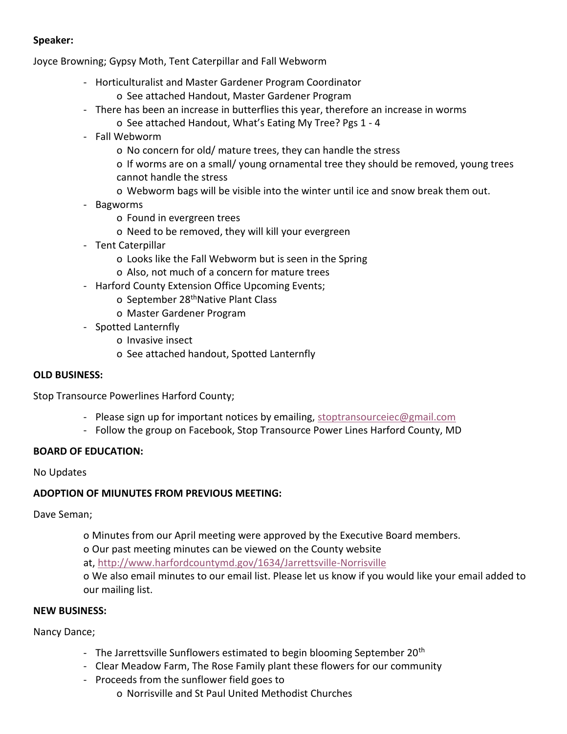## **Speaker:**

Joyce Browning; Gypsy Moth, Tent Caterpillar and Fall Webworm

- Horticulturalist and Master Gardener Program Coordinator
	- o See attached Handout, Master Gardener Program
- There has been an increase in butterflies this year, therefore an increase in worms
	- o See attached Handout, What's Eating My Tree? Pgs 1 4
- Fall Webworm
	- o No concern for old/ mature trees, they can handle the stress
	- o If worms are on a small/ young ornamental tree they should be removed, young trees cannot handle the stress
	- o Webworm bags will be visible into the winter until ice and snow break them out.
- Bagworms
	- o Found in evergreen trees
	- o Need to be removed, they will kill your evergreen
- Tent Caterpillar
	- o Looks like the Fall Webworm but is seen in the Spring
	- o Also, not much of a concern for mature trees
- Harford County Extension Office Upcoming Events;
	- o September 28<sup>th</sup>Native Plant Class
	- o Master Gardener Program
- Spotted Lanternfly
	- o Invasive insect
	- o See attached handout, Spotted Lanternfly

### **OLD BUSINESS:**

Stop Transource Powerlines Harford County;

- Please sign up for important notices by emailing, [stoptransourceiec@gmail.com](mailto:stoptransourceiec@gmail.com)
- Follow the group on Facebook, Stop Transource Power Lines Harford County, MD

### **BOARD OF EDUCATION:**

No Updates

### **ADOPTION OF MIUNUTES FROM PREVIOUS MEETING:**

Dave Seman;

o Minutes from our April meeting were approved by the Executive Board members.

o Our past meeting minutes can be viewed on the County website

at, [http://www.harfordcountymd.gov/1634/Jarrettsville-Norrisville](https://nam05.safelinks.protection.outlook.com/?url=http%3A%2F%2Fwww.harfordcountymd.gov%2F1634%2FJarrettsville-Norrisville&data=02%7C01%7Ckblowery%40harfordcountymd.gov%7C5637a030d3114bac363b08d74032af5c%7C4235188d82284164a04d76ccc8339f8f%7C0%7C0%7C637048458773172181&sdata=ZSEAPpPB%2FtkHiE3Sq8Jvv8xowYEYppAaroq84%2BIXWPg%3D&reserved=0)

o We also email minutes to our email list. Please let us know if you would like your email added to our mailing list.

#### **NEW BUSINESS:**

Nancy Dance;

- The Jarrettsville Sunflowers estimated to begin blooming September  $20<sup>th</sup>$
- Clear Meadow Farm, The Rose Family plant these flowers for our community
- Proceeds from the sunflower field goes to
	- o Norrisville and St Paul United Methodist Churches